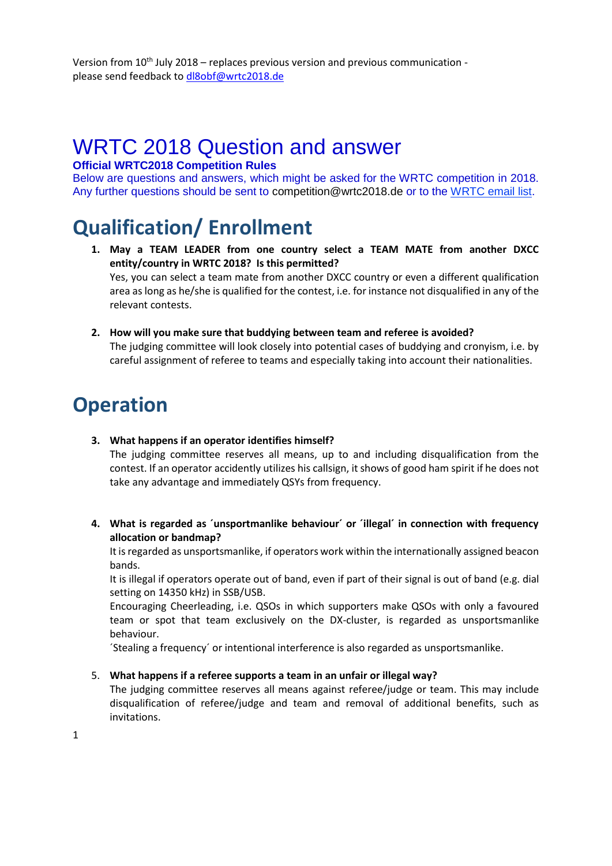# WRTC 2018 Question and answer

## **Official WRTC2018 Competition Rules**

Below are questions and answers, which might be asked for the WRTC competition in 2018. Any further questions should be sent to competition@wrtc2018.de or to the [WRTC email list.](http://wrtc2018.de/index.php/ueber-uns/mailinglisten)

# **Qualification/ Enrollment**

- **1. May a TEAM LEADER from one country select a TEAM MATE from another DXCC entity/country in WRTC 2018? Is this permitted?** Yes, you can select a team mate from another DXCC country or even a different qualification area as long as he/she is qualified for the contest, i.e. for instance not disqualified in any of the relevant contests.
- **2. How will you make sure that buddying between team and referee is avoided?** The judging committee will look closely into potential cases of buddying and cronyism, i.e. by careful assignment of referee to teams and especially taking into account their nationalities.

## **Operation**

**3. What happens if an operator identifies himself?**

The judging committee reserves all means, up to and including disqualification from the contest. If an operator accidently utilizes his callsign, it shows of good ham spirit if he does not take any advantage and immediately QSYs from frequency.

**4. What is regarded as ´unsportmanlike behaviour´ or ´illegal´ in connection with frequency allocation or bandmap?**

It is regarded as unsportsmanlike, if operators work within the internationally assigned beacon bands.

It is illegal if operators operate out of band, even if part of their signal is out of band (e.g. dial setting on 14350 kHz) in SSB/USB.

Encouraging Cheerleading, i.e. QSOs in which supporters make QSOs with only a favoured team or spot that team exclusively on the DX-cluster, is regarded as unsportsmanlike behaviour.

´Stealing a frequency´ or intentional interference is also regarded as unsportsmanlike.

#### 5. **What happens if a referee supports a team in an unfair or illegal way?**

The judging committee reserves all means against referee/judge or team. This may include disqualification of referee/judge and team and removal of additional benefits, such as invitations.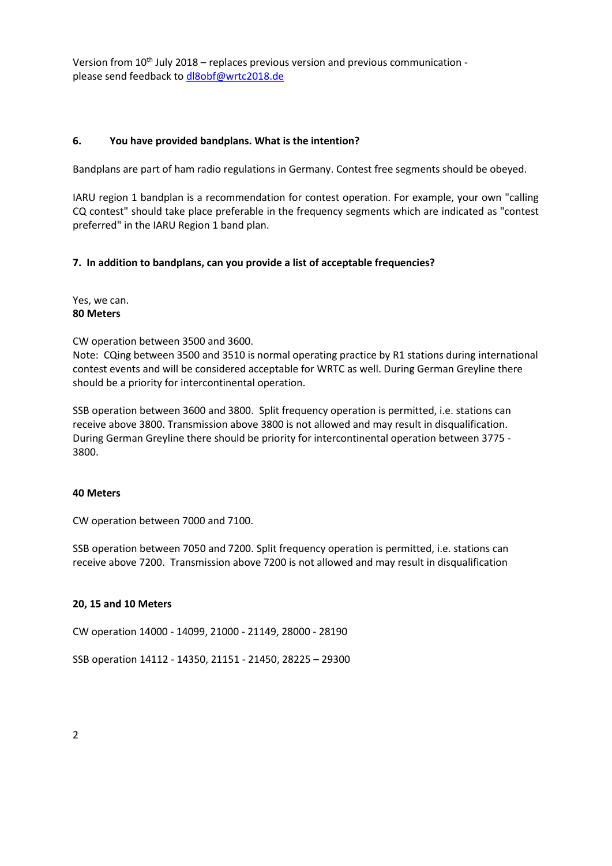#### **6. You have provided bandplans. What is the intention?**

Bandplans are part of ham radio regulations in Germany. Contest free segments should be obeyed.

IARU region 1 bandplan is a recommendation for contest operation. For example, your own "calling CQ contest" should take place preferable in the frequency segments which are indicated as "contest preferred" in the IARU Region 1 band plan.

#### **7. In addition to bandplans, can you provide a list of acceptable frequencies?**

Yes, we can. **80 Meters**

CW operation between 3500 and 3600.

Note: CQing between 3500 and 3510 is normal operating practice by R1 stations during international contest events and will be considered acceptable for WRTC as well. During German Greyline there should be a priority for intercontinental operation.

SSB operation between 3600 and 3800. Split frequency operation is permitted, i.e. stations can receive above 3800. Transmission above 3800 is not allowed and may result in disqualification. During German Greyline there should be priority for intercontinental operation between 3775 - 3800.

#### **40 Meters**

CW operation between 7000 and 7100.

SSB operation between 7050 and 7200. Split frequency operation is permitted, i.e. stations can receive above 7200. Transmission above 7200 is not allowed and may result in disqualification

#### **20, 15 and 10 Meters**

CW operation 14000 - 14099, 21000 - 21149, 28000 - 28190

SSB operation 14112 - 14350, 21151 - 21450, 28225 – 29300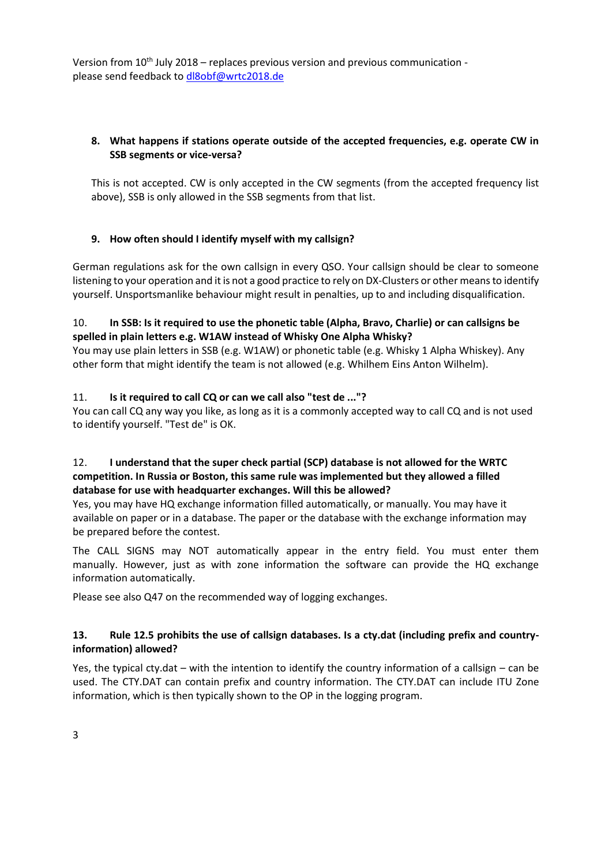## **8. What happens if stations operate outside of the accepted frequencies, e.g. operate CW in SSB segments or vice-versa?**

This is not accepted. CW is only accepted in the CW segments (from the accepted frequency list above), SSB is only allowed in the SSB segments from that list.

## **9. How often should I identify myself with my callsign?**

German regulations ask for the own callsign in every QSO. Your callsign should be clear to someone listening to your operation and it is not a good practice to rely on DX-Clusters or other means to identify yourself. Unsportsmanlike behaviour might result in penalties, up to and including disqualification.

## 10. **In SSB: Is it required to use the phonetic table (Alpha, Bravo, Charlie) or can callsigns be spelled in plain letters e.g. W1AW instead of Whisky One Alpha Whisky?**

You may use plain letters in SSB (e.g. W1AW) or phonetic table (e.g. Whisky 1 Alpha Whiskey). Any other form that might identify the team is not allowed (e.g. Whilhem Eins Anton Wilhelm).

## 11. **Is it required to call CQ or can we call also "test de ..."?**

You can call CQ any way you like, as long as it is a commonly accepted way to call CQ and is not used to identify yourself. "Test de" is OK.

## 12. **I understand that the super check partial (SCP) database is not allowed for the WRTC competition. In Russia or Boston, this same rule was implemented but they allowed a filled database for use with headquarter exchanges. Will this be allowed?**

Yes, you may have HQ exchange information filled automatically, or manually. You may have it available on paper or in a database. The paper or the database with the exchange information may be prepared before the contest.

The CALL SIGNS may NOT automatically appear in the entry field. You must enter them manually. However, just as with zone information the software can provide the HQ exchange information automatically.

Please see also Q47 on the recommended way of logging exchanges.

## **13. Rule 12.5 prohibits the use of callsign databases. Is a cty.dat (including prefix and countryinformation) allowed?**

Yes, the typical cty.dat – with the intention to identify the country information of a callsign – can be used. The CTY.DAT can contain prefix and country information. The CTY.DAT can include ITU Zone information, which is then typically shown to the OP in the logging program.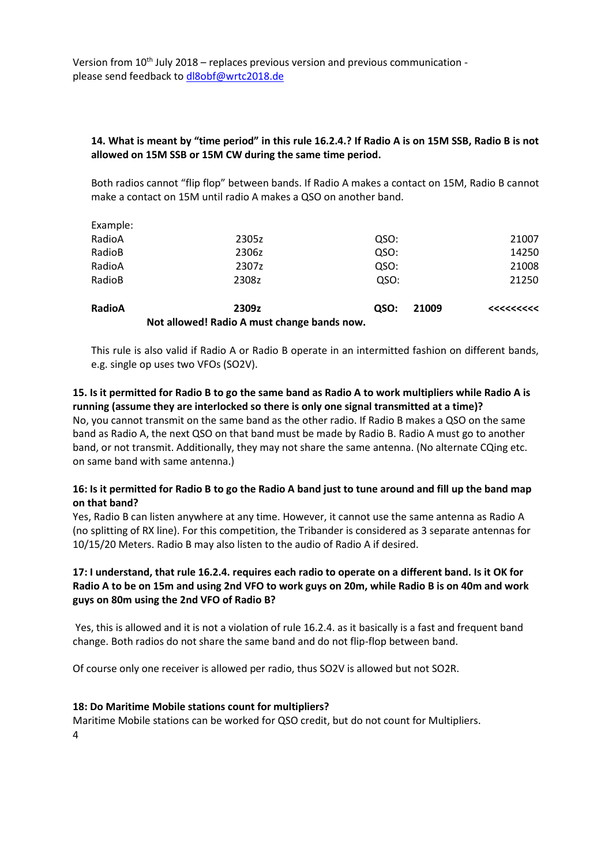## **14. What is meant by "time period" in this rule 16.2.4.? If Radio A is on 15M SSB, Radio B is not allowed on 15M SSB or 15M CW during the same time period.**

Both radios cannot "flip flop" between bands. If Radio A makes a contact on 15M, Radio B cannot make a contact on 15M until radio A makes a QSO on another band.

|               | Not allowed! Radio A must change bands now. |      |       |          |
|---------------|---------------------------------------------|------|-------|----------|
| <b>RadioA</b> | 2309z                                       | QSO: | 21009 | <<<<<<<< |
| RadioB        | 2308z                                       | QSO: |       | 21250    |
| RadioA        | 2307z                                       | QSO: |       | 21008    |
| RadioB        | 2306z                                       | QSO: |       | 14250    |
| RadioA        | 2305z                                       | QSO: |       | 21007    |
| Example:      |                                             |      |       |          |

This rule is also valid if Radio A or Radio B operate in an intermitted fashion on different bands, e.g. single op uses two VFOs (SO2V).

## **15. Is it permitted for Radio B to go the same band as Radio A to work multipliers while Radio A is running (assume they are interlocked so there is only one signal transmitted at a time)?**

No, you cannot transmit on the same band as the other radio. If Radio B makes a QSO on the same band as Radio A, the next QSO on that band must be made by Radio B. Radio A must go to another band, or not transmit. Additionally, they may not share the same antenna. (No alternate CQing etc. on same band with same antenna.)

## **16: Is it permitted for Radio B to go the Radio A band just to tune around and fill up the band map on that band?**

Yes, Radio B can listen anywhere at any time. However, it cannot use the same antenna as Radio A (no splitting of RX line). For this competition, the Tribander is considered as 3 separate antennas for 10/15/20 Meters. Radio B may also listen to the audio of Radio A if desired.

## **17: I understand, that rule 16.2.4. requires each radio to operate on a different band. Is it OK for Radio A to be on 15m and using 2nd VFO to work guys on 20m, while Radio B is on 40m and work guys on 80m using the 2nd VFO of Radio B?**

Yes, this is allowed and it is not a violation of rule 16.2.4. as it basically is a fast and frequent band change. Both radios do not share the same band and do not flip-flop between band.

Of course only one receiver is allowed per radio, thus SO2V is allowed but not SO2R.

#### **18: Do Maritime Mobile stations count for multipliers?**

4 Maritime Mobile stations can be worked for QSO credit, but do not count for Multipliers.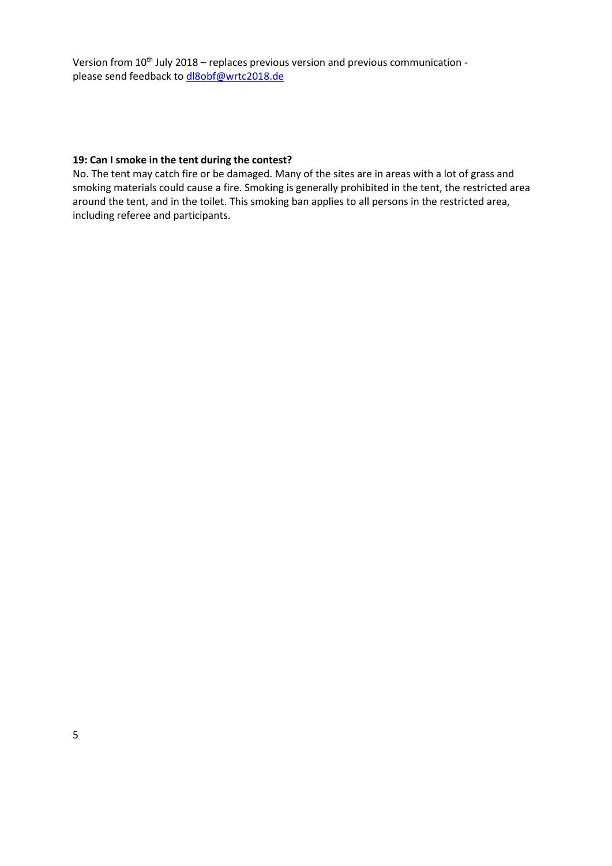#### **19: Can I smoke in the tent during the contest?**

No. The tent may catch fire or be damaged. Many of the sites are in areas with a lot of grass and smoking materials could cause a fire. Smoking is generally prohibited in the tent, the restricted area around the tent, and in the toilet. This smoking ban applies to all persons in the restricted area, including referee and participants.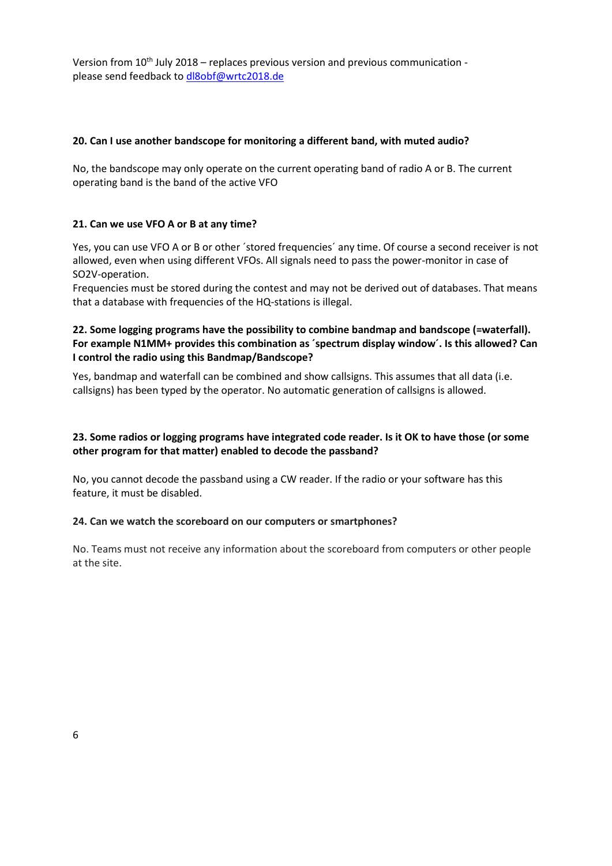#### **20. Can I use another bandscope for monitoring a different band, with muted audio?**

No, the bandscope may only operate on the current operating band of radio A or B. The current operating band is the band of the active VFO

#### **21. Can we use VFO A or B at any time?**

Yes, you can use VFO A or B or other ´stored frequencies´ any time. Of course a second receiver is not allowed, even when using different VFOs. All signals need to pass the power-monitor in case of SO2V-operation.

Frequencies must be stored during the contest and may not be derived out of databases. That means that a database with frequencies of the HQ-stations is illegal.

#### **22. Some logging programs have the possibility to combine bandmap and bandscope (=waterfall). For example N1MM+ provides this combination as ´spectrum display window´. Is this allowed? Can I control the radio using this Bandmap/Bandscope?**

Yes, bandmap and waterfall can be combined and show callsigns. This assumes that all data (i.e. callsigns) has been typed by the operator. No automatic generation of callsigns is allowed.

## **23. Some radios or logging programs have integrated code reader. Is it OK to have those (or some other program for that matter) enabled to decode the passband?**

No, you cannot decode the passband using a CW reader. If the radio or your software has this feature, it must be disabled.

#### **24. Can we watch the scoreboard on our computers or smartphones?**

No. Teams must not receive any information about the scoreboard from computers or other people at the site.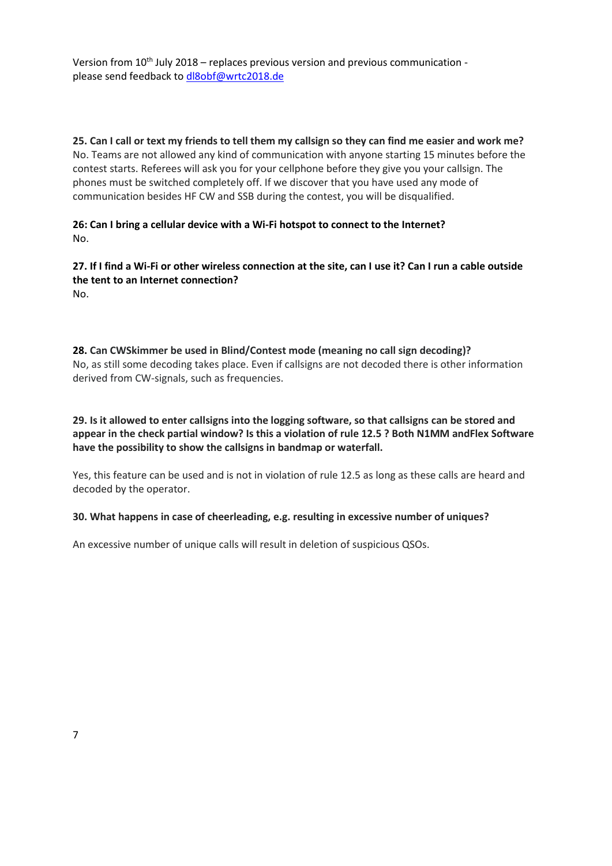**25. Can I call or text my friends to tell them my callsign so they can find me easier and work me?** No. Teams are not allowed any kind of communication with anyone starting 15 minutes before the contest starts. Referees will ask you for your cellphone before they give you your callsign. The phones must be switched completely off. If we discover that you have used any mode of communication besides HF CW and SSB during the contest, you will be disqualified.

**26: Can I bring a cellular device with a Wi-Fi hotspot to connect to the Internet?** No.

**27. If I find a Wi-Fi or other wireless connection at the site, can I use it? Can I run a cable outside the tent to an Internet connection?** No.

**28. Can CWSkimmer be used in Blind/Contest mode (meaning no call sign decoding)?** No, as still some decoding takes place. Even if callsigns are not decoded there is other information derived from CW-signals, such as frequencies.

**29. Is it allowed to enter callsigns into the logging software, so that callsigns can be stored and appear in the check partial window? Is this a violation of rule 12.5 ? Both N1MM andFlex Software have the possibility to show the callsigns in bandmap or waterfall.**

Yes, this feature can be used and is not in violation of rule 12.5 as long as these calls are heard and decoded by the operator.

#### **30. What happens in case of cheerleading, e.g. resulting in excessive number of uniques?**

An excessive number of unique calls will result in deletion of suspicious QSOs.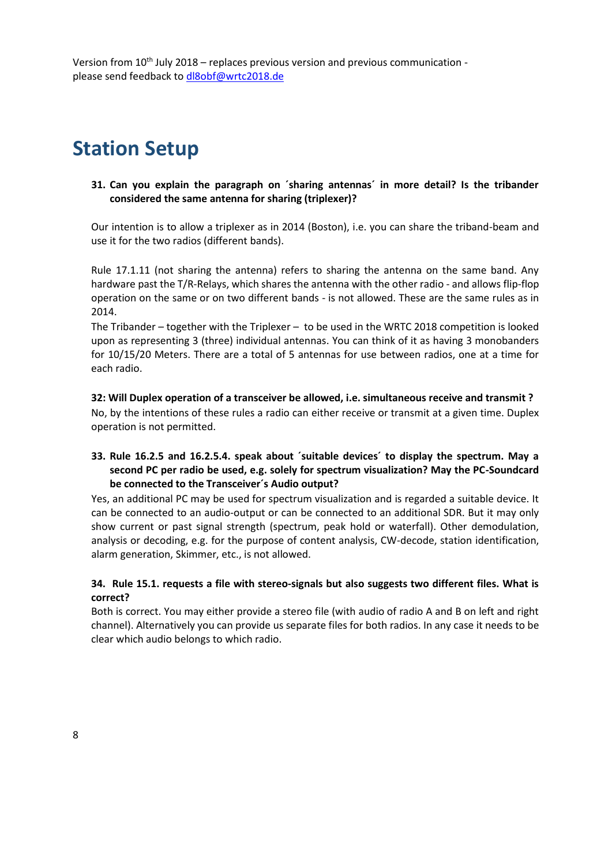## **Station Setup**

#### **31. Can you explain the paragraph on ´sharing antennas´ in more detail? Is the tribander considered the same antenna for sharing (triplexer)?**

Our intention is to allow a triplexer as in 2014 (Boston), i.e. you can share the triband-beam and use it for the two radios (different bands).

Rule 17.1.11 (not sharing the antenna) refers to sharing the antenna on the same band. Any hardware past the T/R-Relays, which shares the antenna with the other radio - and allows flip-flop operation on the same or on two different bands - is not allowed. These are the same rules as in 2014.

The Tribander – together with the Triplexer – to be used in the WRTC 2018 competition is looked upon as representing 3 (three) individual antennas. You can think of it as having 3 monobanders for 10/15/20 Meters. There are a total of 5 antennas for use between radios, one at a time for each radio.

#### **32: Will Duplex operation of a transceiver be allowed, i.e. simultaneous receive and transmit ?**

No, by the intentions of these rules a radio can either receive or transmit at a given time. Duplex operation is not permitted.

## **33. Rule 16.2.5 and 16.2.5.4. speak about ´suitable devices´ to display the spectrum. May a second PC per radio be used, e.g. solely for spectrum visualization? May the PC-Soundcard be connected to the Transceiver´s Audio output?**

Yes, an additional PC may be used for spectrum visualization and is regarded a suitable device. It can be connected to an audio-output or can be connected to an additional SDR. But it may only show current or past signal strength (spectrum, peak hold or waterfall). Other demodulation, analysis or decoding, e.g. for the purpose of content analysis, CW-decode, station identification, alarm generation, Skimmer, etc., is not allowed.

## **34. Rule 15.1. requests a file with stereo-signals but also suggests two different files. What is correct?**

Both is correct. You may either provide a stereo file (with audio of radio A and B on left and right channel). Alternatively you can provide us separate files for both radios. In any case it needs to be clear which audio belongs to which radio.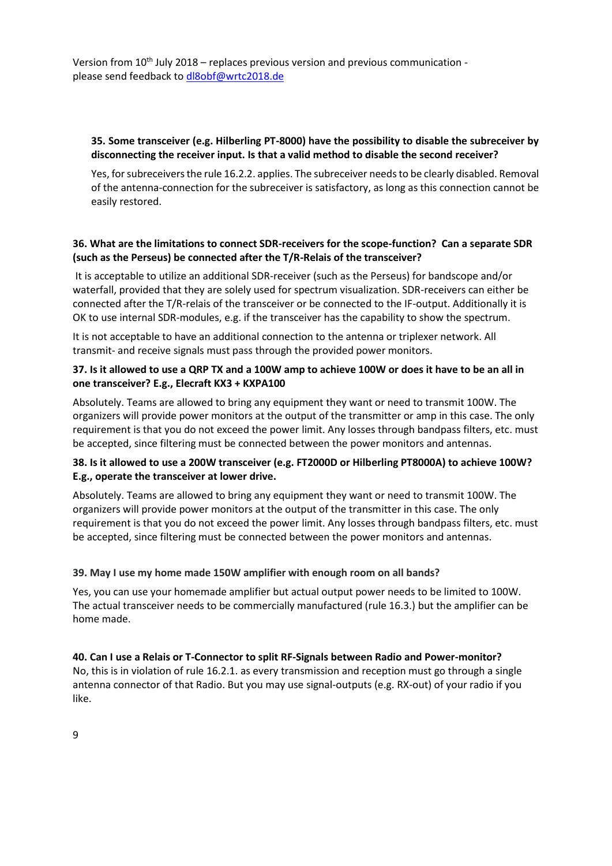#### **35. Some transceiver (e.g. Hilberling PT-8000) have the possibility to disable the subreceiver by disconnecting the receiver input. Is that a valid method to disable the second receiver?**

Yes, for subreceivers the rule 16.2.2. applies. The subreceiver needs to be clearly disabled. Removal of the antenna-connection for the subreceiver is satisfactory, as long as this connection cannot be easily restored.

## **36. What are the limitations to connect SDR-receivers for the scope-function? Can a separate SDR (such as the Perseus) be connected after the T/R-Relais of the transceiver?**

It is acceptable to utilize an additional SDR-receiver (such as the Perseus) for bandscope and/or waterfall, provided that they are solely used for spectrum visualization. SDR-receivers can either be connected after the T/R-relais of the transceiver or be connected to the IF-output. Additionally it is OK to use internal SDR-modules, e.g. if the transceiver has the capability to show the spectrum.

It is not acceptable to have an additional connection to the antenna or triplexer network. All transmit- and receive signals must pass through the provided power monitors.

## **37. Is it allowed to use a QRP TX and a 100W amp to achieve 100W or does it have to be an all in one transceiver? E.g., Elecraft KX3 + KXPA100**

Absolutely. Teams are allowed to bring any equipment they want or need to transmit 100W. The organizers will provide power monitors at the output of the transmitter or amp in this case. The only requirement is that you do not exceed the power limit. Any losses through bandpass filters, etc. must be accepted, since filtering must be connected between the power monitors and antennas.

## **38. Is it allowed to use a 200W transceiver (e.g. FT2000D or Hilberling PT8000A) to achieve 100W? E.g., operate the transceiver at lower drive.**

Absolutely. Teams are allowed to bring any equipment they want or need to transmit 100W. The organizers will provide power monitors at the output of the transmitter in this case. The only requirement is that you do not exceed the power limit. Any losses through bandpass filters, etc. must be accepted, since filtering must be connected between the power monitors and antennas.

## **39. May I use my home made 150W amplifier with enough room on all bands?**

Yes, you can use your homemade amplifier but actual output power needs to be limited to 100W. The actual transceiver needs to be commercially manufactured (rule 16.3.) but the amplifier can be home made.

#### **40. Can I use a Relais or T-Connector to split RF-Signals between Radio and Power-monitor?**

No, this is in violation of rule 16.2.1. as every transmission and reception must go through a single antenna connector of that Radio. But you may use signal-outputs (e.g. RX-out) of your radio if you like.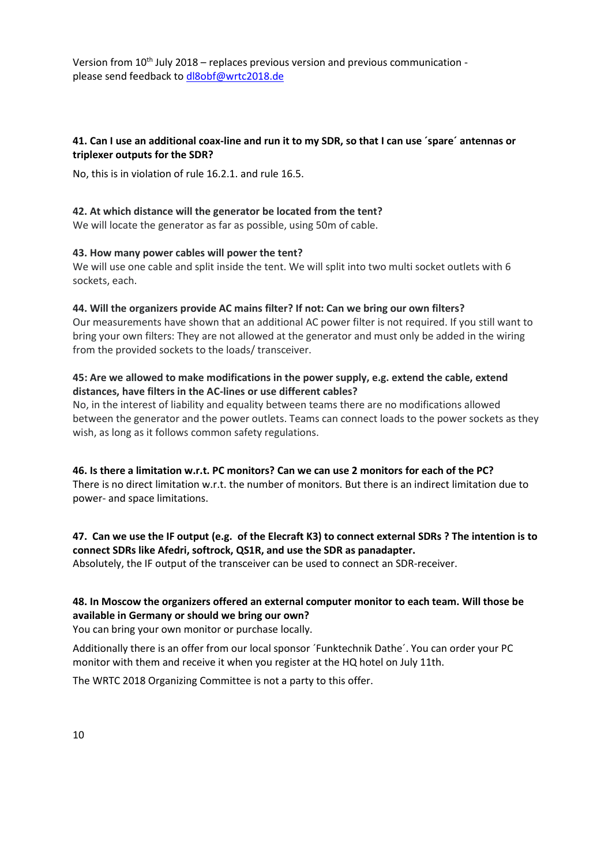## **41. Can I use an additional coax-line and run it to my SDR, so that I can use ´spare´ antennas or triplexer outputs for the SDR?**

No, this is in violation of rule 16.2.1. and rule 16.5.

#### **42. At which distance will the generator be located from the tent?**

We will locate the generator as far as possible, using 50m of cable.

#### **43. How many power cables will power the tent?**

We will use one cable and split inside the tent. We will split into two multi socket outlets with 6 sockets, each.

#### **44. Will the organizers provide AC mains filter? If not: Can we bring our own filters?**

Our measurements have shown that an additional AC power filter is not required. If you still want to bring your own filters: They are not allowed at the generator and must only be added in the wiring from the provided sockets to the loads/ transceiver.

## **45: Are we allowed to make modifications in the power supply, e.g. extend the cable, extend distances, have filters in the AC-lines or use different cables?**

No, in the interest of liability and equality between teams there are no modifications allowed between the generator and the power outlets. Teams can connect loads to the power sockets as they wish, as long as it follows common safety regulations.

**46. Is there a limitation w.r.t. PC monitors? Can we can use 2 monitors for each of the PC?** There is no direct limitation w.r.t. the number of monitors. But there is an indirect limitation due to power- and space limitations.

## **47. Can we use the IF output (e.g. of the Elecraft K3) to connect external SDRs ? The intention is to connect SDRs like Afedri, softrock, QS1R, and use the SDR as panadapter.**

Absolutely, the IF output of the transceiver can be used to connect an SDR-receiver.

## **48. In Moscow the organizers offered an external computer monitor to each team. Will those be available in Germany or should we bring our own?**

You can bring your own monitor or purchase locally.

Additionally there is an offer from our local sponsor ´Funktechnik Dathe´. You can order your PC monitor with them and receive it when you register at the HQ hotel on July 11th.

The WRTC 2018 Organizing Committee is not a party to this offer.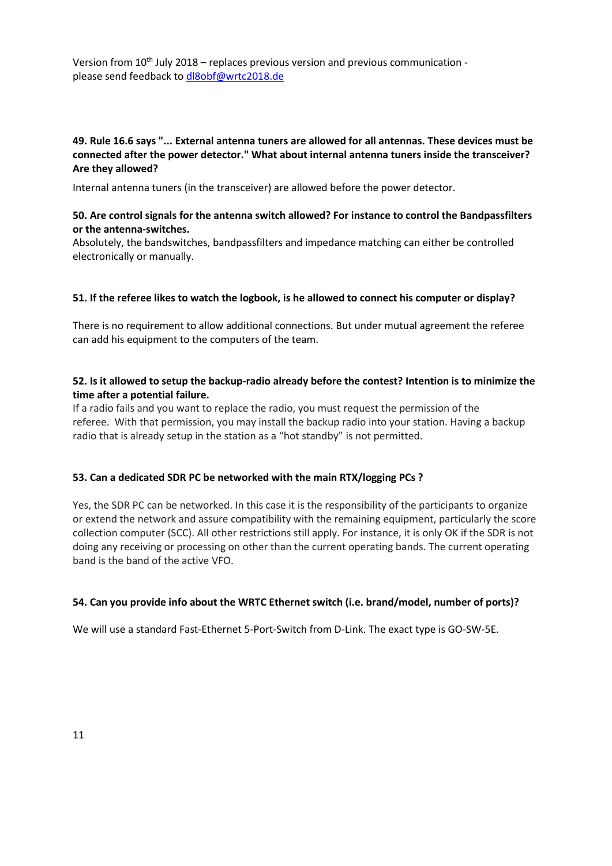## **49. Rule 16.6 says "... External antenna tuners are allowed for all antennas. These devices must be connected after the power detector." What about internal antenna tuners inside the transceiver? Are they allowed?**

Internal antenna tuners (in the transceiver) are allowed before the power detector.

## **50. Are control signals for the antenna switch allowed? For instance to control the Bandpassfilters or the antenna-switches.**

Absolutely, the bandswitches, bandpassfilters and impedance matching can either be controlled electronically or manually.

#### **51. If the referee likes to watch the logbook, is he allowed to connect his computer or display?**

There is no requirement to allow additional connections. But under mutual agreement the referee can add his equipment to the computers of the team.

## **52. Is it allowed to setup the backup-radio already before the contest? Intention is to minimize the time after a potential failure.**

If a radio fails and you want to replace the radio, you must request the permission of the referee. With that permission, you may install the backup radio into your station. Having a backup radio that is already setup in the station as a "hot standby" is not permitted.

#### **53. Can a dedicated SDR PC be networked with the main RTX/logging PCs ?**

Yes, the SDR PC can be networked. In this case it is the responsibility of the participants to organize or extend the network and assure compatibility with the remaining equipment, particularly the score collection computer (SCC). All other restrictions still apply. For instance, it is only OK if the SDR is not doing any receiving or processing on other than the current operating bands. The current operating band is the band of the active VFO.

#### **54. Can you provide info about the WRTC Ethernet switch (i.e. brand/model, number of ports)?**

We will use a standard Fast-Ethernet 5-Port-Switch from D-Link. The exact type is GO-SW-5E.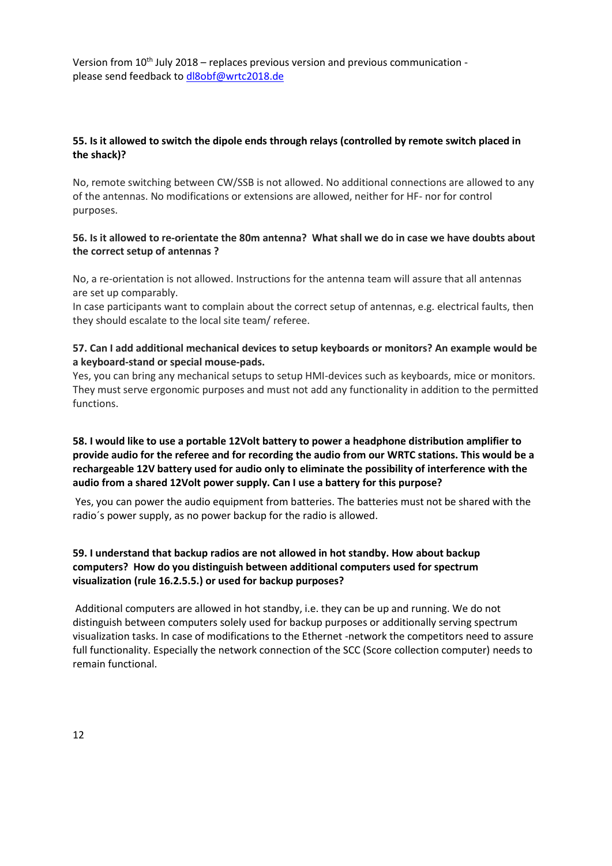## **55. Is it allowed to switch the dipole ends through relays (controlled by remote switch placed in the shack)?**

No, remote switching between CW/SSB is not allowed. No additional connections are allowed to any of the antennas. No modifications or extensions are allowed, neither for HF- nor for control purposes.

#### **56. Is it allowed to re-orientate the 80m antenna? What shall we do in case we have doubts about the correct setup of antennas ?**

No, a re-orientation is not allowed. Instructions for the antenna team will assure that all antennas are set up comparably.

In case participants want to complain about the correct setup of antennas, e.g. electrical faults, then they should escalate to the local site team/ referee.

## **57. Can I add additional mechanical devices to setup keyboards or monitors? An example would be a keyboard-stand or special mouse-pads.**

Yes, you can bring any mechanical setups to setup HMI-devices such as keyboards, mice or monitors. They must serve ergonomic purposes and must not add any functionality in addition to the permitted functions.

## **58. I would like to use a portable 12Volt battery to power a headphone distribution amplifier to provide audio for the referee and for recording the audio from our WRTC stations. This would be a rechargeable 12V battery used for audio only to eliminate the possibility of interference with the audio from a shared 12Volt power supply. Can I use a battery for this purpose?**

Yes, you can power the audio equipment from batteries. The batteries must not be shared with the radio´s power supply, as no power backup for the radio is allowed.

## **59. I understand that backup radios are not allowed in hot standby. How about backup computers? How do you distinguish between additional computers used for spectrum visualization (rule 16.2.5.5.) or used for backup purposes?**

Additional computers are allowed in hot standby, i.e. they can be up and running. We do not distinguish between computers solely used for backup purposes or additionally serving spectrum visualization tasks. In case of modifications to the Ethernet -network the competitors need to assure full functionality. Especially the network connection of the SCC (Score collection computer) needs to remain functional.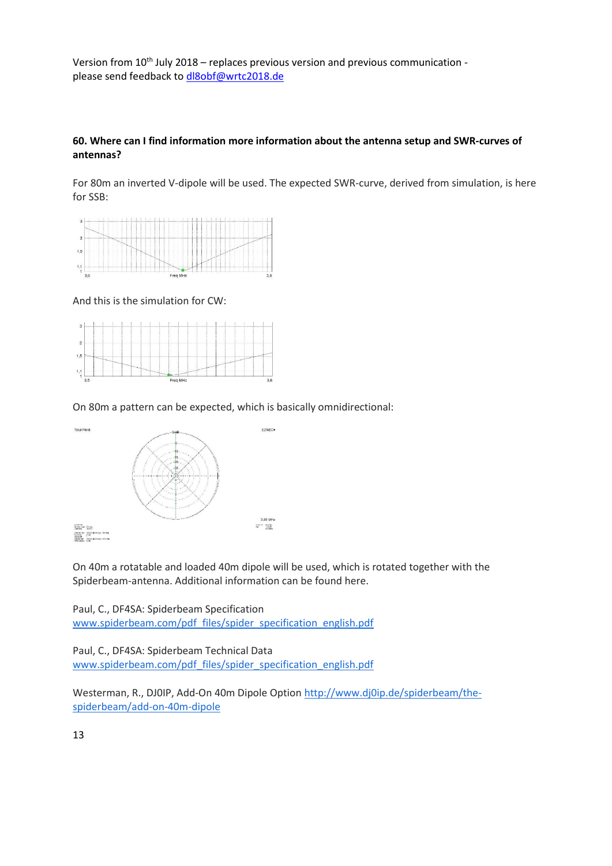## **60. Where can I find information more information about the antenna setup and SWR-curves of antennas?**

For 80m an inverted V-dipole will be used. The expected SWR-curve, derived from simulation, is here for SSB:



And this is the simulation for CW:



On 80m a pattern can be expected, which is basically omnidirectional:



On 40m a rotatable and loaded 40m dipole will be used, which is rotated together with the Spiderbeam-antenna. Additional information can be found here.

Paul, C., DF4SA: Spiderbeam Specification [www.spiderbeam.com/pdf\\_files/spider\\_specification\\_english.pdf](http://www.spiderbeam.com/pdf_files/spider_specification_english.pdf)

Paul, C., DF4SA: Spiderbeam Technical Data [www.spiderbeam.com/pdf\\_files/spider\\_specification\\_english.pdf](http://www.spiderbeam.com/pdf_files/spider_specification_english.pdf)

Westerman, R., DJ0IP, Add-On 40m Dipole Option [http://www.dj0ip.de/spiderbeam/the](http://www.dj0ip.de/spiderbeam/the-spiderbeam/add-on-40m-dipole)[spiderbeam/add-on-40m-dipole](http://www.dj0ip.de/spiderbeam/the-spiderbeam/add-on-40m-dipole)

13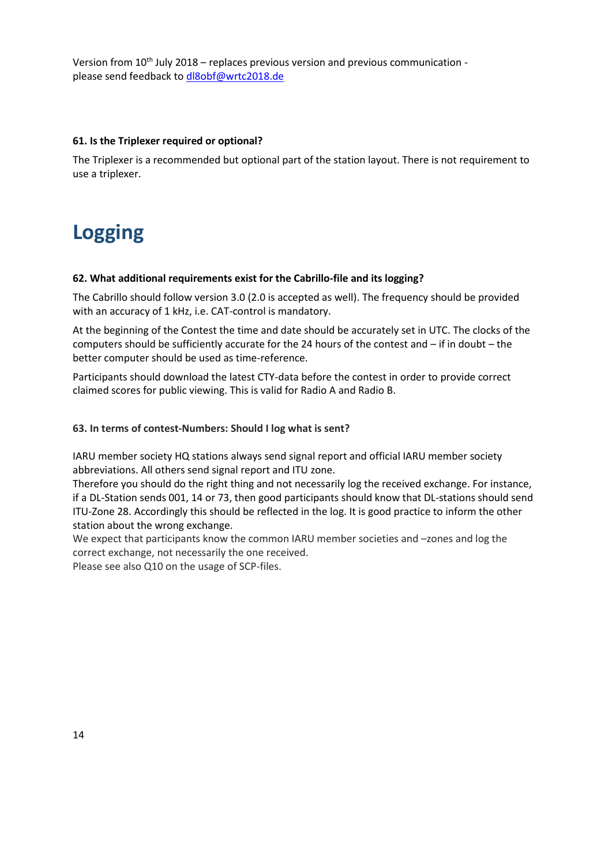#### **61. Is the Triplexer required or optional?**

The Triplexer is a recommended but optional part of the station layout. There is not requirement to use a triplexer.

# **Logging**

#### **62. What additional requirements exist for the Cabrillo-file and its logging?**

The Cabrillo should follow version 3.0 (2.0 is accepted as well). The frequency should be provided with an accuracy of 1 kHz, i.e. CAT-control is mandatory.

At the beginning of the Contest the time and date should be accurately set in UTC. The clocks of the computers should be sufficiently accurate for the 24 hours of the contest and – if in doubt – the better computer should be used as time-reference.

Participants should download the latest CTY-data before the contest in order to provide correct claimed scores for public viewing. This is valid for Radio A and Radio B.

#### **63. In terms of contest-Numbers: Should I log what is sent?**

IARU member society HQ stations always send signal report and official IARU member society abbreviations. All others send signal report and ITU zone.

Therefore you should do the right thing and not necessarily log the received exchange. For instance, if a DL-Station sends 001, 14 or 73, then good participants should know that DL-stations should send ITU-Zone 28. Accordingly this should be reflected in the log. It is good practice to inform the other station about the wrong exchange.

We expect that participants know the common IARU member societies and –zones and log the correct exchange, not necessarily the one received.

Please see also Q10 on the usage of SCP-files.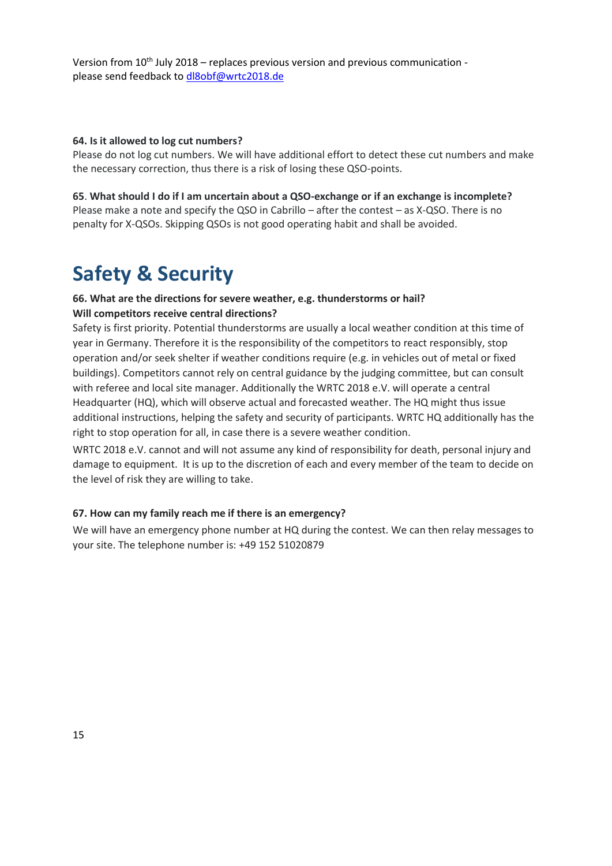#### **64. Is it allowed to log cut numbers?**

Please do not log cut numbers. We will have additional effort to detect these cut numbers and make the necessary correction, thus there is a risk of losing these QSO-points.

#### **65**. **What should I do if I am uncertain about a QSO-exchange or if an exchange is incomplete?**

Please make a note and specify the QSO in Cabrillo – after the contest – as X-QSO. There is no penalty for X-QSOs. Skipping QSOs is not good operating habit and shall be avoided.

## **Safety & Security**

## **66. What are the directions for severe weather, e.g. thunderstorms or hail? Will competitors receive central directions?**

Safety is first priority. Potential thunderstorms are usually a local weather condition at this time of year in Germany. Therefore it is the responsibility of the competitors to react responsibly, stop operation and/or seek shelter if weather conditions require (e.g. in vehicles out of metal or fixed buildings). Competitors cannot rely on central guidance by the judging committee, but can consult with referee and local site manager. Additionally the WRTC 2018 e.V. will operate a central Headquarter (HQ), which will observe actual and forecasted weather. The HQ might thus issue additional instructions, helping the safety and security of participants. WRTC HQ additionally has the right to stop operation for all, in case there is a severe weather condition.

WRTC 2018 e.V. cannot and will not assume any kind of responsibility for death, personal injury and damage to equipment. It is up to the discretion of each and every member of the team to decide on the level of risk they are willing to take.

#### **67. How can my family reach me if there is an emergency?**

We will have an emergency phone number at HQ during the contest. We can then relay messages to your site. The telephone number is: +49 152 51020879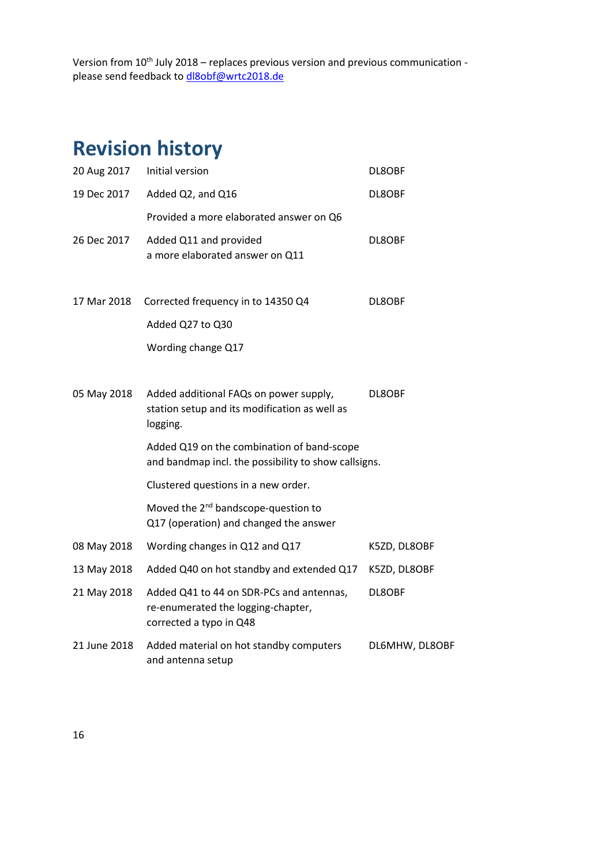# **Revision history**

| 20 Aug 2017  | Initial version                                                                                           | DL8OBF         |
|--------------|-----------------------------------------------------------------------------------------------------------|----------------|
| 19 Dec 2017  | Added Q2, and Q16                                                                                         | DL8OBF         |
|              | Provided a more elaborated answer on Q6                                                                   |                |
| 26 Dec 2017  | Added Q11 and provided<br>a more elaborated answer on Q11                                                 | DL8OBF         |
| 17 Mar 2018  | Corrected frequency in to 14350 Q4                                                                        | DL8OBF         |
|              | Added Q27 to Q30                                                                                          |                |
|              | Wording change Q17                                                                                        |                |
| 05 May 2018  | Added additional FAQs on power supply,<br>station setup and its modification as well as<br>logging.       | DL8OBF         |
|              | Added Q19 on the combination of band-scope<br>and bandmap incl. the possibility to show callsigns.        |                |
|              | Clustered questions in a new order.                                                                       |                |
|              | Moved the 2 <sup>nd</sup> bandscope-question to<br>Q17 (operation) and changed the answer                 |                |
| 08 May 2018  | Wording changes in Q12 and Q17                                                                            | K5ZD, DL8OBF   |
| 13 May 2018  | Added Q40 on hot standby and extended Q17                                                                 | K5ZD, DL8OBF   |
| 21 May 2018  | Added Q41 to 44 on SDR-PCs and antennas,<br>re-enumerated the logging-chapter,<br>corrected a typo in Q48 | DL8OBF         |
| 21 June 2018 | Added material on hot standby computers<br>and antenna setup                                              | DL6MHW, DL8OBF |